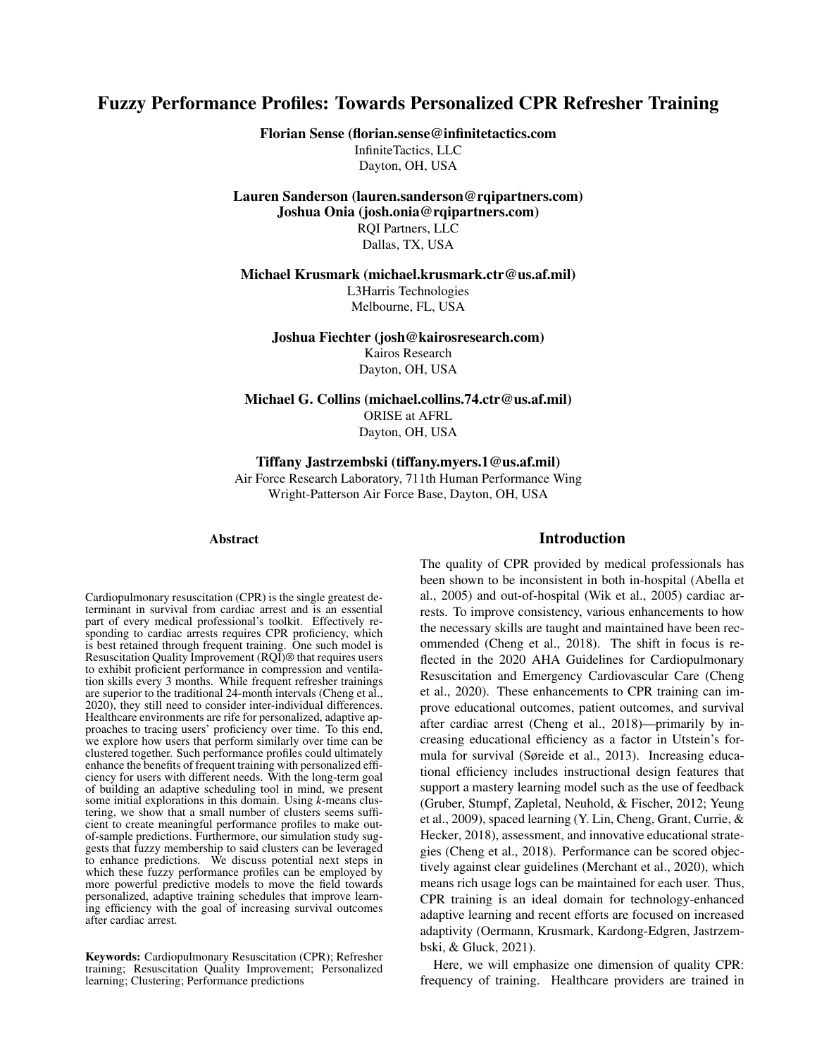# Fuzzy Performance Profiles: Towards Personalized CPR Refresher Training

Florian Sense (florian.sense@infinitetactics.com InfiniteTactics, LLC

Dayton, OH, USA

Lauren Sanderson (lauren.sanderson@rqipartners.com) Joshua Onia (josh.onia@rqipartners.com)

> RQI Partners, LLC Dallas, TX, USA

Michael Krusmark (michael.krusmark.ctr@us.af.mil)

L3Harris Technologies Melbourne, FL, USA

Joshua Fiechter (josh@kairosresearch.com) Kairos Research Dayton, OH, USA

Michael G. Collins (michael.collins.74.ctr@us.af.mil) ORISE at AFRL Dayton, OH, USA

Tiffany Jastrzembski (tiffany.myers.1@us.af.mil) Air Force Research Laboratory, 711th Human Performance Wing Wright-Patterson Air Force Base, Dayton, OH, USA

#### Abstract

Cardiopulmonary resuscitation (CPR) is the single greatest determinant in survival from cardiac arrest and is an essential part of every medical professional's toolkit. Effectively responding to cardiac arrests requires CPR proficiency, which is best retained through frequent training. One such model is Resuscitation Quality Improvement (RQI)® that requires users to exhibit proficient performance in compression and ventilation skills every 3 months. While frequent refresher trainings are superior to the traditional 24-month intervals (Cheng et al., 2020), they still need to consider inter-individual differences. Healthcare environments are rife for personalized, adaptive approaches to tracing users' proficiency over time. To this end, we explore how users that perform similarly over time can be clustered together. Such performance profiles could ultimately enhance the benefits of frequent training with personalized efficiency for users with different needs. With the long-term goal of building an adaptive scheduling tool in mind, we present some initial explorations in this domain. Using *k*-means clustering, we show that a small number of clusters seems sufficient to create meaningful performance profiles to make outof-sample predictions. Furthermore, our simulation study suggests that fuzzy membership to said clusters can be leveraged to enhance predictions. We discuss potential next steps in which these fuzzy performance profiles can be employed by more powerful predictive models to move the field towards personalized, adaptive training schedules that improve learning efficiency with the goal of increasing survival outcomes after cardiac arrest.

Keywords: Cardiopulmonary Resuscitation (CPR); Refresher training; Resuscitation Quality Improvement; Personalized learning; Clustering; Performance predictions

## Introduction

The quality of CPR provided by medical professionals has been shown to be inconsistent in both in-hospital (Abella et al., 2005) and out-of-hospital (Wik et al., 2005) cardiac arrests. To improve consistency, various enhancements to how the necessary skills are taught and maintained have been recommended (Cheng et al., 2018). The shift in focus is reflected in the 2020 AHA Guidelines for Cardiopulmonary Resuscitation and Emergency Cardiovascular Care (Cheng et al., 2020). These enhancements to CPR training can improve educational outcomes, patient outcomes, and survival after cardiac arrest (Cheng et al., 2018)—primarily by increasing educational efficiency as a factor in Utstein's formula for survival (Søreide et al., 2013). Increasing educational efficiency includes instructional design features that support a mastery learning model such as the use of feedback (Gruber, Stumpf, Zapletal, Neuhold, & Fischer, 2012; Yeung et al., 2009), spaced learning (Y. Lin, Cheng, Grant, Currie, & Hecker, 2018), assessment, and innovative educational strategies (Cheng et al., 2018). Performance can be scored objectively against clear guidelines (Merchant et al., 2020), which means rich usage logs can be maintained for each user. Thus, CPR training is an ideal domain for technology-enhanced adaptive learning and recent efforts are focused on increased adaptivity (Oermann, Krusmark, Kardong-Edgren, Jastrzembski, & Gluck, 2021).

Here, we will emphasize one dimension of quality CPR: frequency of training. Healthcare providers are trained in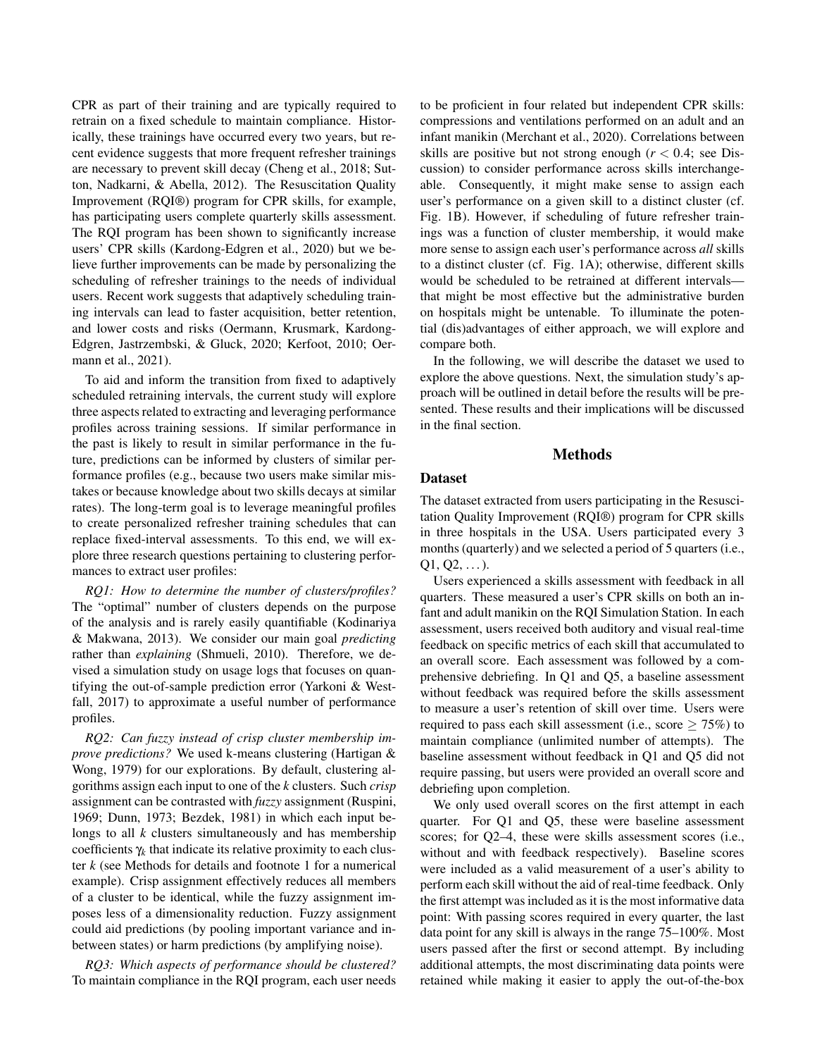CPR as part of their training and are typically required to retrain on a fixed schedule to maintain compliance. Historically, these trainings have occurred every two years, but recent evidence suggests that more frequent refresher trainings are necessary to prevent skill decay (Cheng et al., 2018; Sutton, Nadkarni, & Abella, 2012). The Resuscitation Quality Improvement (RQI®) program for CPR skills, for example, has participating users complete quarterly skills assessment. The RQI program has been shown to significantly increase users' CPR skills (Kardong-Edgren et al., 2020) but we believe further improvements can be made by personalizing the scheduling of refresher trainings to the needs of individual users. Recent work suggests that adaptively scheduling training intervals can lead to faster acquisition, better retention, and lower costs and risks (Oermann, Krusmark, Kardong-Edgren, Jastrzembski, & Gluck, 2020; Kerfoot, 2010; Oermann et al., 2021).

To aid and inform the transition from fixed to adaptively scheduled retraining intervals, the current study will explore three aspects related to extracting and leveraging performance profiles across training sessions. If similar performance in the past is likely to result in similar performance in the future, predictions can be informed by clusters of similar performance profiles (e.g., because two users make similar mistakes or because knowledge about two skills decays at similar rates). The long-term goal is to leverage meaningful profiles to create personalized refresher training schedules that can replace fixed-interval assessments. To this end, we will explore three research questions pertaining to clustering performances to extract user profiles:

*RQ1: How to determine the number of clusters/profiles?* The "optimal" number of clusters depends on the purpose of the analysis and is rarely easily quantifiable (Kodinariya & Makwana, 2013). We consider our main goal *predicting* rather than *explaining* (Shmueli, 2010). Therefore, we devised a simulation study on usage logs that focuses on quantifying the out-of-sample prediction error (Yarkoni & Westfall, 2017) to approximate a useful number of performance profiles.

*RQ2: Can fuzzy instead of crisp cluster membership improve predictions?* We used k-means clustering (Hartigan & Wong, 1979) for our explorations. By default, clustering algorithms assign each input to one of the *k* clusters. Such *crisp* assignment can be contrasted with *fuzzy* assignment (Ruspini, 1969; Dunn, 1973; Bezdek, 1981) in which each input belongs to all *k* clusters simultaneously and has membership coefficients  $\gamma_k$  that indicate its relative proximity to each cluster *k* (see Methods for details and footnote 1 for a numerical example). Crisp assignment effectively reduces all members of a cluster to be identical, while the fuzzy assignment imposes less of a dimensionality reduction. Fuzzy assignment could aid predictions (by pooling important variance and inbetween states) or harm predictions (by amplifying noise).

*RQ3: Which aspects of performance should be clustered?* To maintain compliance in the RQI program, each user needs to be proficient in four related but independent CPR skills: compressions and ventilations performed on an adult and an infant manikin (Merchant et al., 2020). Correlations between skills are positive but not strong enough  $(r < 0.4)$ ; see Discussion) to consider performance across skills interchangeable. Consequently, it might make sense to assign each user's performance on a given skill to a distinct cluster (cf. Fig. 1B). However, if scheduling of future refresher trainings was a function of cluster membership, it would make more sense to assign each user's performance across *all* skills to a distinct cluster (cf. Fig. 1A); otherwise, different skills would be scheduled to be retrained at different intervals that might be most effective but the administrative burden on hospitals might be untenable. To illuminate the potential (dis)advantages of either approach, we will explore and compare both.

In the following, we will describe the dataset we used to explore the above questions. Next, the simulation study's approach will be outlined in detail before the results will be presented. These results and their implications will be discussed in the final section.

## Methods

#### Dataset

The dataset extracted from users participating in the Resuscitation Quality Improvement (RQI®) program for CPR skills in three hospitals in the USA. Users participated every 3 months (quarterly) and we selected a period of 5 quarters (i.e.,  $Q1, Q2, \ldots$ ).

Users experienced a skills assessment with feedback in all quarters. These measured a user's CPR skills on both an infant and adult manikin on the RQI Simulation Station. In each assessment, users received both auditory and visual real-time feedback on specific metrics of each skill that accumulated to an overall score. Each assessment was followed by a comprehensive debriefing. In Q1 and Q5, a baseline assessment without feedback was required before the skills assessment to measure a user's retention of skill over time. Users were required to pass each skill assessment (i.e., score  $\geq$  75%) to maintain compliance (unlimited number of attempts). The baseline assessment without feedback in Q1 and Q5 did not require passing, but users were provided an overall score and debriefing upon completion.

We only used overall scores on the first attempt in each quarter. For Q1 and Q5, these were baseline assessment scores; for Q2–4, these were skills assessment scores (i.e., without and with feedback respectively). Baseline scores were included as a valid measurement of a user's ability to perform each skill without the aid of real-time feedback. Only the first attempt was included as it is the most informative data point: With passing scores required in every quarter, the last data point for any skill is always in the range 75–100%. Most users passed after the first or second attempt. By including additional attempts, the most discriminating data points were retained while making it easier to apply the out-of-the-box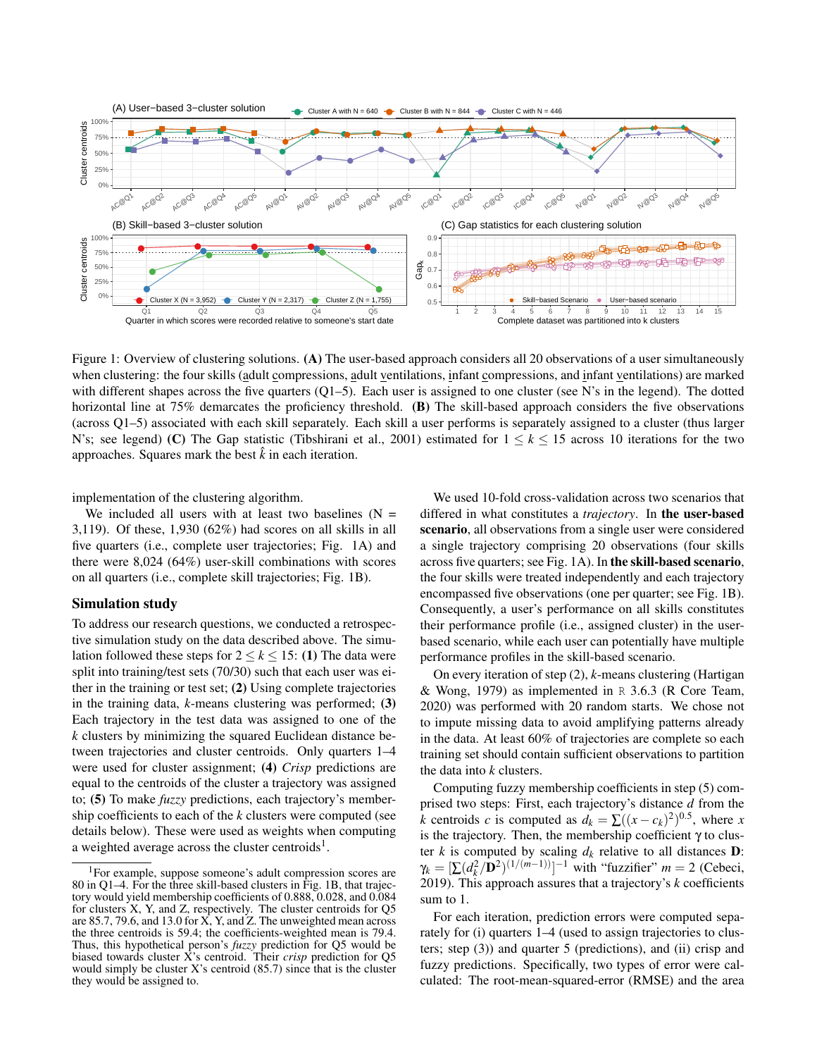

Figure 1: Overview of clustering solutions. (A) The user-based approach considers all 20 observations of a user simultaneously when clustering: the four skills (adult compressions, adult ventilations, infant compressions, and infant ventilations) are marked with different shapes across the five quarters  $(Q1-5)$ . Each user is assigned to one cluster (see N's in the legend). The dotted horizontal line at 75% demarcates the proficiency threshold. (B) The skill-based approach considers the five observations (across Q1–5) associated with each skill separately. Each skill a user performs is separately assigned to a cluster (thus larger N's; see legend) (C) The Gap statistic (Tibshirani et al., 2001) estimated for  $1 \leq k \leq 15$  across 10 iterations for the two approaches. Squares mark the best  $\hat{k}$  in each iteration.

implementation of the clustering algorithm.

We included all users with at least two baselines  $(N =$ 3,119). Of these, 1,930 (62%) had scores on all skills in all five quarters (i.e., complete user trajectories; Fig. 1A) and there were 8,024 (64%) user-skill combinations with scores on all quarters (i.e., complete skill trajectories; Fig. 1B).

#### Simulation study

To address our research questions, we conducted a retrospective simulation study on the data described above. The simulation followed these steps for  $2 \le k \le 15$ : (1) The data were split into training/test sets (70/30) such that each user was either in the training or test set; (2) Using complete trajectories in the training data, *k*-means clustering was performed; (3) Each trajectory in the test data was assigned to one of the *k* clusters by minimizing the squared Euclidean distance between trajectories and cluster centroids. Only quarters 1–4 were used for cluster assignment; (4) *Crisp* predictions are equal to the centroids of the cluster a trajectory was assigned to; (5) To make *fuzzy* predictions, each trajectory's membership coefficients to each of the *k* clusters were computed (see details below). These were used as weights when computing a weighted average across the cluster centroids<sup>1</sup>.

We used 10-fold cross-validation across two scenarios that differed in what constitutes a *trajectory*. In the user-based scenario, all observations from a single user were considered a single trajectory comprising 20 observations (four skills across five quarters; see Fig. 1A). In the skill-based scenario, the four skills were treated independently and each trajectory encompassed five observations (one per quarter; see Fig. 1B). Consequently, a user's performance on all skills constitutes their performance profile (i.e., assigned cluster) in the userbased scenario, while each user can potentially have multiple performance profiles in the skill-based scenario.

On every iteration of step (2), *k*-means clustering (Hartigan & Wong, 1979) as implemented in  $R$  3.6.3 (R Core Team, 2020) was performed with 20 random starts. We chose not to impute missing data to avoid amplifying patterns already in the data. At least 60% of trajectories are complete so each training set should contain sufficient observations to partition the data into *k* clusters.

Computing fuzzy membership coefficients in step (5) comprised two steps: First, each trajectory's distance *d* from the *k* centroids *c* is computed as  $d_k = \sum ((x - c_k)^2)^{0.5}$ , where *x* is the trajectory. Then, the membership coefficient  $\gamma$  to cluster *k* is computed by scaling  $d_k$  relative to all distances **D**:  $\gamma_k = [\sum (d_k^2 / \mathbf{D}^2)^{(1/(m-1))}]^{-1}$  with "fuzzifier" *m* = 2 (Cebeci, 2019). This approach assures that a trajectory's *k* coefficients sum to 1.

For each iteration, prediction errors were computed separately for (i) quarters 1–4 (used to assign trajectories to clusters; step (3)) and quarter 5 (predictions), and (ii) crisp and fuzzy predictions. Specifically, two types of error were calculated: The root-mean-squared-error (RMSE) and the area

<sup>&</sup>lt;sup>1</sup>For example, suppose someone's adult compression scores are 80 in Q1–4. For the three skill-based clusters in Fig. 1B, that trajectory would yield membership coefficients of 0.888, 0.028, and 0.084 for clusters X, Y, and Z, respectively. The cluster centroids for Q5 are 85.7, 79.6, and 13.0 for  $\overline{X}$ , Y, and Z. The unweighted mean across the three centroids is 59.4; the coefficients-weighted mean is 79.4. Thus, this hypothetical person's *fuzzy* prediction for Q5 would be biased towards cluster X's centroid. Their *crisp* prediction for Q5 would simply be cluster X's centroid (85.7) since that is the cluster they would be assigned to.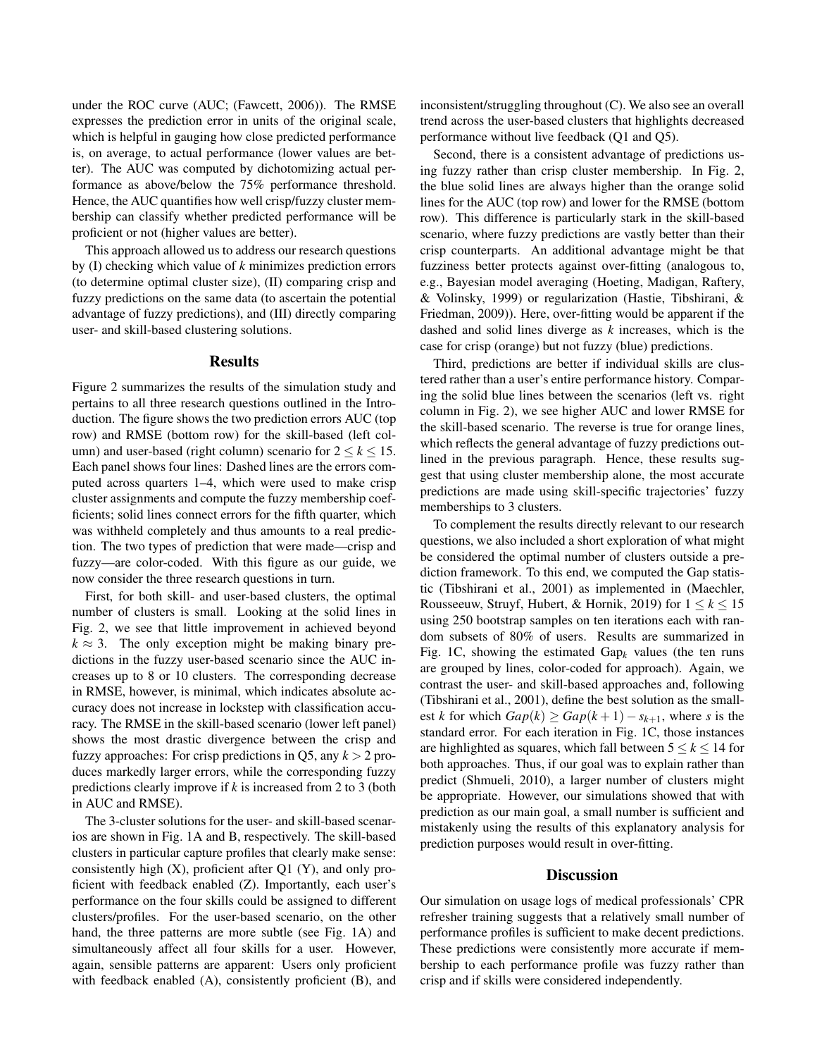under the ROC curve (AUC; (Fawcett, 2006)). The RMSE expresses the prediction error in units of the original scale, which is helpful in gauging how close predicted performance is, on average, to actual performance (lower values are better). The AUC was computed by dichotomizing actual performance as above/below the 75% performance threshold. Hence, the AUC quantifies how well crisp/fuzzy cluster membership can classify whether predicted performance will be proficient or not (higher values are better).

This approach allowed us to address our research questions by (I) checking which value of *k* minimizes prediction errors (to determine optimal cluster size), (II) comparing crisp and fuzzy predictions on the same data (to ascertain the potential advantage of fuzzy predictions), and (III) directly comparing user- and skill-based clustering solutions.

#### **Results**

Figure 2 summarizes the results of the simulation study and pertains to all three research questions outlined in the Introduction. The figure shows the two prediction errors AUC (top row) and RMSE (bottom row) for the skill-based (left column) and user-based (right column) scenario for  $2 \leq k \leq 15$ . Each panel shows four lines: Dashed lines are the errors computed across quarters 1–4, which were used to make crisp cluster assignments and compute the fuzzy membership coefficients; solid lines connect errors for the fifth quarter, which was withheld completely and thus amounts to a real prediction. The two types of prediction that were made—crisp and fuzzy—are color-coded. With this figure as our guide, we now consider the three research questions in turn.

First, for both skill- and user-based clusters, the optimal number of clusters is small. Looking at the solid lines in Fig. 2, we see that little improvement in achieved beyond  $k \approx 3$ . The only exception might be making binary predictions in the fuzzy user-based scenario since the AUC increases up to 8 or 10 clusters. The corresponding decrease in RMSE, however, is minimal, which indicates absolute accuracy does not increase in lockstep with classification accuracy. The RMSE in the skill-based scenario (lower left panel) shows the most drastic divergence between the crisp and fuzzy approaches: For crisp predictions in Q5, any  $k > 2$  produces markedly larger errors, while the corresponding fuzzy predictions clearly improve if *k* is increased from 2 to 3 (both in AUC and RMSE).

The 3-cluster solutions for the user- and skill-based scenarios are shown in Fig. 1A and B, respectively. The skill-based clusters in particular capture profiles that clearly make sense: consistently high  $(X)$ , proficient after Q1  $(Y)$ , and only proficient with feedback enabled (Z). Importantly, each user's performance on the four skills could be assigned to different clusters/profiles. For the user-based scenario, on the other hand, the three patterns are more subtle (see Fig. 1A) and simultaneously affect all four skills for a user. However, again, sensible patterns are apparent: Users only proficient with feedback enabled (A), consistently proficient (B), and inconsistent/struggling throughout (C). We also see an overall trend across the user-based clusters that highlights decreased performance without live feedback (Q1 and Q5).

Second, there is a consistent advantage of predictions using fuzzy rather than crisp cluster membership. In Fig. 2, the blue solid lines are always higher than the orange solid lines for the AUC (top row) and lower for the RMSE (bottom row). This difference is particularly stark in the skill-based scenario, where fuzzy predictions are vastly better than their crisp counterparts. An additional advantage might be that fuzziness better protects against over-fitting (analogous to, e.g., Bayesian model averaging (Hoeting, Madigan, Raftery, & Volinsky, 1999) or regularization (Hastie, Tibshirani, & Friedman, 2009)). Here, over-fitting would be apparent if the dashed and solid lines diverge as *k* increases, which is the case for crisp (orange) but not fuzzy (blue) predictions.

Third, predictions are better if individual skills are clustered rather than a user's entire performance history. Comparing the solid blue lines between the scenarios (left vs. right column in Fig. 2), we see higher AUC and lower RMSE for the skill-based scenario. The reverse is true for orange lines, which reflects the general advantage of fuzzy predictions outlined in the previous paragraph. Hence, these results suggest that using cluster membership alone, the most accurate predictions are made using skill-specific trajectories' fuzzy memberships to 3 clusters.

To complement the results directly relevant to our research questions, we also included a short exploration of what might be considered the optimal number of clusters outside a prediction framework. To this end, we computed the Gap statistic (Tibshirani et al., 2001) as implemented in (Maechler, Rousseeuw, Struyf, Hubert, & Hornik, 2019) for  $1 \leq k \leq 15$ using 250 bootstrap samples on ten iterations each with random subsets of 80% of users. Results are summarized in Fig. 1C, showing the estimated  $Gap_k$  values (the ten runs are grouped by lines, color-coded for approach). Again, we contrast the user- and skill-based approaches and, following (Tibshirani et al., 2001), define the best solution as the smallest *k* for which  $Gap(k) \geq Gap(k+1)-s_{k+1}$ , where *s* is the standard error. For each iteration in Fig. 1C, those instances are highlighted as squares, which fall between  $5 \leq k \leq 14$  for both approaches. Thus, if our goal was to explain rather than predict (Shmueli, 2010), a larger number of clusters might be appropriate. However, our simulations showed that with prediction as our main goal, a small number is sufficient and mistakenly using the results of this explanatory analysis for prediction purposes would result in over-fitting.

## **Discussion**

Our simulation on usage logs of medical professionals' CPR refresher training suggests that a relatively small number of performance profiles is sufficient to make decent predictions. These predictions were consistently more accurate if membership to each performance profile was fuzzy rather than crisp and if skills were considered independently.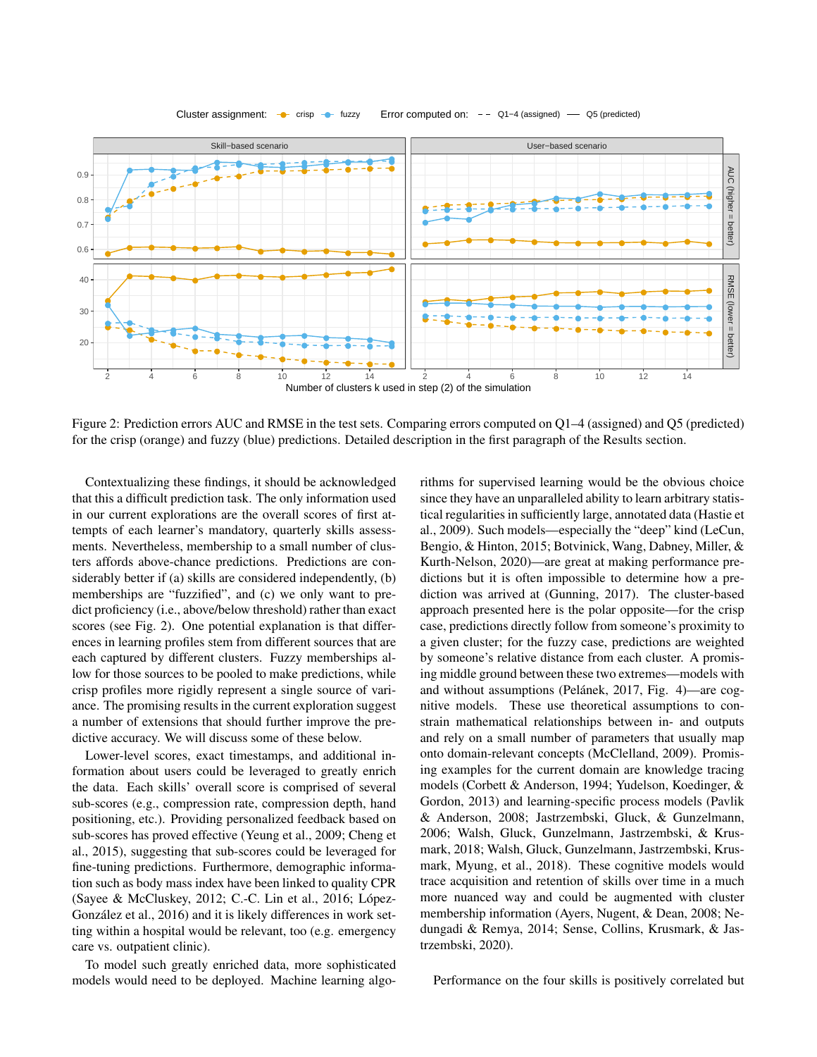

Cluster assignment:  $\bullet$  crisp  $\bullet$  fuzzy Error computed on: - Q1−4 (assigned) — Q5 (predicted)

Figure 2: Prediction errors AUC and RMSE in the test sets. Comparing errors computed on Q1–4 (assigned) and Q5 (predicted) for the crisp (orange) and fuzzy (blue) predictions. Detailed description in the first paragraph of the Results section.

Contextualizing these findings, it should be acknowledged that this a difficult prediction task. The only information used in our current explorations are the overall scores of first attempts of each learner's mandatory, quarterly skills assessments. Nevertheless, membership to a small number of clusters affords above-chance predictions. Predictions are considerably better if (a) skills are considered independently, (b) memberships are "fuzzified", and (c) we only want to predict proficiency (i.e., above/below threshold) rather than exact scores (see Fig. 2). One potential explanation is that differences in learning profiles stem from different sources that are each captured by different clusters. Fuzzy memberships allow for those sources to be pooled to make predictions, while crisp profiles more rigidly represent a single source of variance. The promising results in the current exploration suggest a number of extensions that should further improve the predictive accuracy. We will discuss some of these below.

Lower-level scores, exact timestamps, and additional information about users could be leveraged to greatly enrich the data. Each skills' overall score is comprised of several sub-scores (e.g., compression rate, compression depth, hand positioning, etc.). Providing personalized feedback based on sub-scores has proved effective (Yeung et al., 2009; Cheng et al., 2015), suggesting that sub-scores could be leveraged for fine-tuning predictions. Furthermore, demographic information such as body mass index have been linked to quality CPR (Sayee & McCluskey, 2012; C.-C. Lin et al., 2016; López-González et al., 2016) and it is likely differences in work setting within a hospital would be relevant, too (e.g. emergency care vs. outpatient clinic).

To model such greatly enriched data, more sophisticated models would need to be deployed. Machine learning algorithms for supervised learning would be the obvious choice since they have an unparalleled ability to learn arbitrary statistical regularities in sufficiently large, annotated data (Hastie et al., 2009). Such models—especially the "deep" kind (LeCun, Bengio, & Hinton, 2015; Botvinick, Wang, Dabney, Miller, & Kurth-Nelson, 2020)—are great at making performance predictions but it is often impossible to determine how a prediction was arrived at (Gunning, 2017). The cluster-based approach presented here is the polar opposite—for the crisp case, predictions directly follow from someone's proximity to a given cluster; for the fuzzy case, predictions are weighted by someone's relative distance from each cluster. A promising middle ground between these two extremes—models with and without assumptions (Pelánek, 2017, Fig. 4)—are cognitive models. These use theoretical assumptions to constrain mathematical relationships between in- and outputs and rely on a small number of parameters that usually map onto domain-relevant concepts (McClelland, 2009). Promising examples for the current domain are knowledge tracing models (Corbett & Anderson, 1994; Yudelson, Koedinger, & Gordon, 2013) and learning-specific process models (Pavlik & Anderson, 2008; Jastrzembski, Gluck, & Gunzelmann, 2006; Walsh, Gluck, Gunzelmann, Jastrzembski, & Krusmark, 2018; Walsh, Gluck, Gunzelmann, Jastrzembski, Krusmark, Myung, et al., 2018). These cognitive models would trace acquisition and retention of skills over time in a much more nuanced way and could be augmented with cluster membership information (Ayers, Nugent, & Dean, 2008; Nedungadi & Remya, 2014; Sense, Collins, Krusmark, & Jastrzembski, 2020).

Performance on the four skills is positively correlated but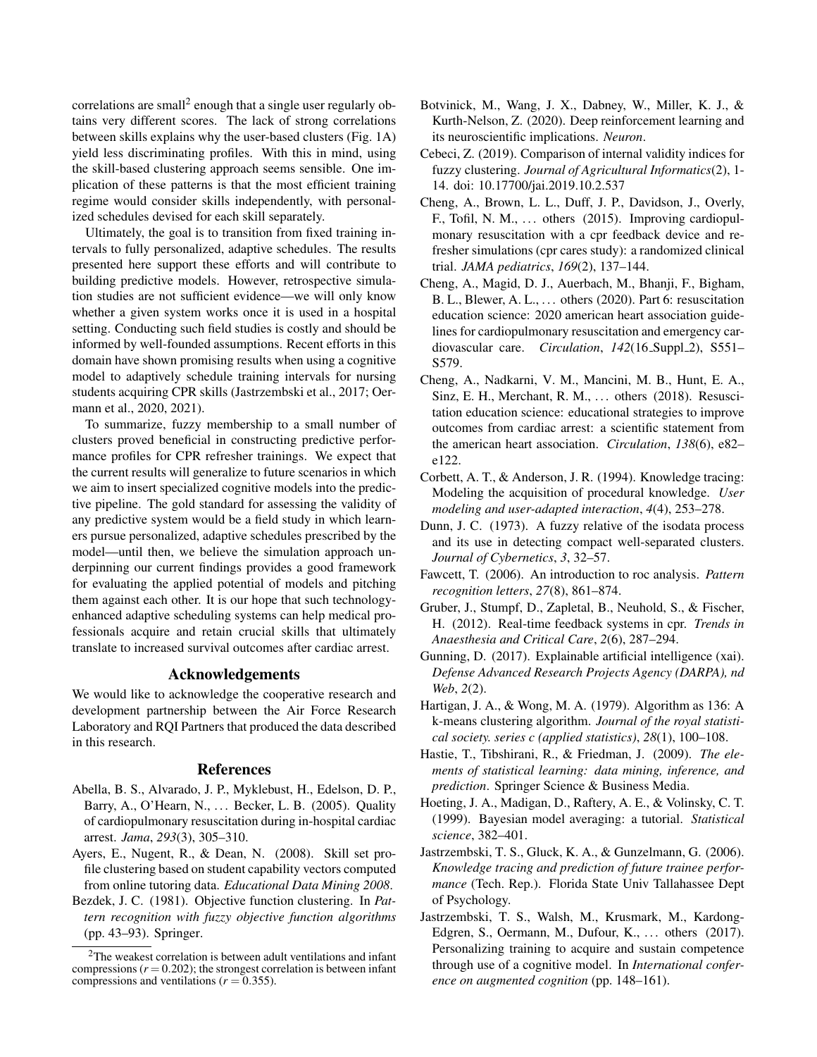correlations are small<sup>2</sup> enough that a single user regularly obtains very different scores. The lack of strong correlations between skills explains why the user-based clusters (Fig. 1A) yield less discriminating profiles. With this in mind, using the skill-based clustering approach seems sensible. One implication of these patterns is that the most efficient training regime would consider skills independently, with personalized schedules devised for each skill separately.

Ultimately, the goal is to transition from fixed training intervals to fully personalized, adaptive schedules. The results presented here support these efforts and will contribute to building predictive models. However, retrospective simulation studies are not sufficient evidence—we will only know whether a given system works once it is used in a hospital setting. Conducting such field studies is costly and should be informed by well-founded assumptions. Recent efforts in this domain have shown promising results when using a cognitive model to adaptively schedule training intervals for nursing students acquiring CPR skills (Jastrzembski et al., 2017; Oermann et al., 2020, 2021).

To summarize, fuzzy membership to a small number of clusters proved beneficial in constructing predictive performance profiles for CPR refresher trainings. We expect that the current results will generalize to future scenarios in which we aim to insert specialized cognitive models into the predictive pipeline. The gold standard for assessing the validity of any predictive system would be a field study in which learners pursue personalized, adaptive schedules prescribed by the model—until then, we believe the simulation approach underpinning our current findings provides a good framework for evaluating the applied potential of models and pitching them against each other. It is our hope that such technologyenhanced adaptive scheduling systems can help medical professionals acquire and retain crucial skills that ultimately translate to increased survival outcomes after cardiac arrest.

## Acknowledgements

We would like to acknowledge the cooperative research and development partnership between the Air Force Research Laboratory and RQI Partners that produced the data described in this research.

### References

- Abella, B. S., Alvarado, J. P., Myklebust, H., Edelson, D. P., Barry, A., O'Hearn, N., . . . Becker, L. B. (2005). Quality of cardiopulmonary resuscitation during in-hospital cardiac arrest. *Jama*, *293*(3), 305–310.
- Ayers, E., Nugent, R., & Dean, N. (2008). Skill set profile clustering based on student capability vectors computed from online tutoring data. *Educational Data Mining 2008*.
- Bezdek, J. C. (1981). Objective function clustering. In *Pattern recognition with fuzzy objective function algorithms* (pp. 43–93). Springer.
- Botvinick, M., Wang, J. X., Dabney, W., Miller, K. J., & Kurth-Nelson, Z. (2020). Deep reinforcement learning and its neuroscientific implications. *Neuron*.
- Cebeci, Z. (2019). Comparison of internal validity indices for fuzzy clustering. *Journal of Agricultural Informatics*(2), 1- 14. doi: 10.17700/jai.2019.10.2.537
- Cheng, A., Brown, L. L., Duff, J. P., Davidson, J., Overly, F., Tofil, N. M., ... others (2015). Improving cardiopulmonary resuscitation with a cpr feedback device and refresher simulations (cpr cares study): a randomized clinical trial. *JAMA pediatrics*, *169*(2), 137–144.
- Cheng, A., Magid, D. J., Auerbach, M., Bhanji, F., Bigham, B. L., Blewer, A. L., . . . others (2020). Part 6: resuscitation education science: 2020 american heart association guidelines for cardiopulmonary resuscitation and emergency cardiovascular care. *Circulation*,  $142(16 \text{Supp1.2})$ , S551-S579.
- Cheng, A., Nadkarni, V. M., Mancini, M. B., Hunt, E. A., Sinz, E. H., Merchant, R. M., ... others (2018). Resuscitation education science: educational strategies to improve outcomes from cardiac arrest: a scientific statement from the american heart association. *Circulation*, *138*(6), e82– e122.
- Corbett, A. T., & Anderson, J. R. (1994). Knowledge tracing: Modeling the acquisition of procedural knowledge. *User modeling and user-adapted interaction*, *4*(4), 253–278.
- Dunn, J. C. (1973). A fuzzy relative of the isodata process and its use in detecting compact well-separated clusters. *Journal of Cybernetics*, *3*, 32–57.
- Fawcett, T. (2006). An introduction to roc analysis. *Pattern recognition letters*, *27*(8), 861–874.
- Gruber, J., Stumpf, D., Zapletal, B., Neuhold, S., & Fischer, H. (2012). Real-time feedback systems in cpr. *Trends in Anaesthesia and Critical Care*, *2*(6), 287–294.
- Gunning, D. (2017). Explainable artificial intelligence (xai). *Defense Advanced Research Projects Agency (DARPA), nd Web*, *2*(2).
- Hartigan, J. A., & Wong, M. A. (1979). Algorithm as 136: A k-means clustering algorithm. *Journal of the royal statistical society. series c (applied statistics)*, *28*(1), 100–108.
- Hastie, T., Tibshirani, R., & Friedman, J. (2009). *The elements of statistical learning: data mining, inference, and prediction*. Springer Science & Business Media.
- Hoeting, J. A., Madigan, D., Raftery, A. E., & Volinsky, C. T. (1999). Bayesian model averaging: a tutorial. *Statistical science*, 382–401.
- Jastrzembski, T. S., Gluck, K. A., & Gunzelmann, G. (2006). *Knowledge tracing and prediction of future trainee performance* (Tech. Rep.). Florida State Univ Tallahassee Dept of Psychology.
- Jastrzembski, T. S., Walsh, M., Krusmark, M., Kardong-Edgren, S., Oermann, M., Dufour, K., ... others (2017). Personalizing training to acquire and sustain competence through use of a cognitive model. In *International conference on augmented cognition* (pp. 148–161).

<sup>2</sup>The weakest correlation is between adult ventilations and infant compressions  $(r = 0.202)$ ; the strongest correlation is between infant compressions and ventilations ( $r = 0.355$ ).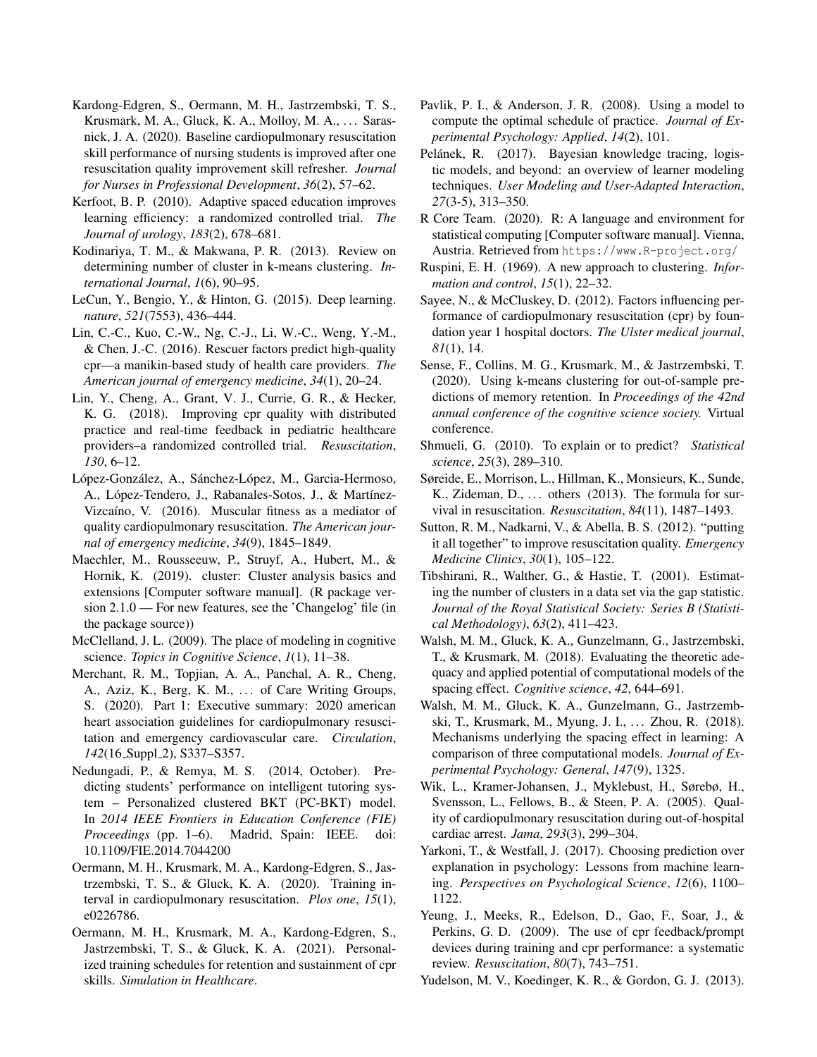- Kardong-Edgren, S., Oermann, M. H., Jastrzembski, T. S., Krusmark, M. A., Gluck, K. A., Molloy, M. A., ... Sarasnick, J. A. (2020). Baseline cardiopulmonary resuscitation skill performance of nursing students is improved after one resuscitation quality improvement skill refresher. *Journal for Nurses in Professional Development*, *36*(2), 57–62.
- Kerfoot, B. P. (2010). Adaptive spaced education improves learning efficiency: a randomized controlled trial. *The Journal of urology*, *183*(2), 678–681.
- Kodinariya, T. M., & Makwana, P. R. (2013). Review on determining number of cluster in k-means clustering. *International Journal*, *1*(6), 90–95.
- LeCun, Y., Bengio, Y., & Hinton, G. (2015). Deep learning. *nature*, *521*(7553), 436–444.
- Lin, C.-C., Kuo, C.-W., Ng, C.-J., Li, W.-C., Weng, Y.-M., & Chen, J.-C. (2016). Rescuer factors predict high-quality cpr—a manikin-based study of health care providers. *The American journal of emergency medicine*, *34*(1), 20–24.
- Lin, Y., Cheng, A., Grant, V. J., Currie, G. R., & Hecker, K. G. (2018). Improving cpr quality with distributed practice and real-time feedback in pediatric healthcare providers–a randomized controlled trial. *Resuscitation*, *130*, 6–12.
- López-González, A., Sánchez-López, M., Garcia-Hermoso, A., López-Tendero, J., Rabanales-Sotos, J., & Martínez-Vizcaíno, V. (2016). Muscular fitness as a mediator of quality cardiopulmonary resuscitation. *The American journal of emergency medicine*, *34*(9), 1845–1849.
- Maechler, M., Rousseeuw, P., Struyf, A., Hubert, M., & Hornik, K. (2019). cluster: Cluster analysis basics and extensions [Computer software manual]. (R package version 2.1.0 — For new features, see the 'Changelog' file (in the package source))
- McClelland, J. L. (2009). The place of modeling in cognitive science. *Topics in Cognitive Science*, *1*(1), 11–38.
- Merchant, R. M., Topjian, A. A., Panchal, A. R., Cheng, A., Aziz, K., Berg, K. M., ... of Care Writing Groups, S. (2020). Part 1: Executive summary: 2020 american heart association guidelines for cardiopulmonary resuscitation and emergency cardiovascular care. *Circulation*, *142*(16\_Suppl\_2), S337–S357.
- Nedungadi, P., & Remya, M. S. (2014, October). Predicting students' performance on intelligent tutoring system – Personalized clustered BKT (PC-BKT) model. In *2014 IEEE Frontiers in Education Conference (FIE) Proceedings* (pp. 1–6). Madrid, Spain: IEEE. doi: 10.1109/FIE.2014.7044200
- Oermann, M. H., Krusmark, M. A., Kardong-Edgren, S., Jastrzembski, T. S., & Gluck, K. A. (2020). Training interval in cardiopulmonary resuscitation. *Plos one*, *15*(1), e0226786.
- Oermann, M. H., Krusmark, M. A., Kardong-Edgren, S., Jastrzembski, T. S., & Gluck, K. A. (2021). Personalized training schedules for retention and sustainment of cpr skills. *Simulation in Healthcare*.
- Pavlik, P. I., & Anderson, J. R. (2008). Using a model to compute the optimal schedule of practice. *Journal of Experimental Psychology: Applied*, *14*(2), 101.
- Pelánek, R. (2017). Bayesian knowledge tracing, logistic models, and beyond: an overview of learner modeling techniques. *User Modeling and User-Adapted Interaction*, *27*(3-5), 313–350.
- R Core Team. (2020). R: A language and environment for statistical computing [Computer software manual]. Vienna, Austria. Retrieved from https://www.R-project.org/
- Ruspini, E. H. (1969). A new approach to clustering. *Information and control*, *15*(1), 22–32.
- Sayee, N., & McCluskey, D. (2012). Factors influencing performance of cardiopulmonary resuscitation (cpr) by foundation year 1 hospital doctors. *The Ulster medical journal*, *81*(1), 14.
- Sense, F., Collins, M. G., Krusmark, M., & Jastrzembski, T. (2020). Using k-means clustering for out-of-sample predictions of memory retention. In *Proceedings of the 42nd annual conference of the cognitive science society.* Virtual conference.
- Shmueli, G. (2010). To explain or to predict? *Statistical science*, *25*(3), 289–310.
- Søreide, E., Morrison, L., Hillman, K., Monsieurs, K., Sunde, K., Zideman, D., ... others (2013). The formula for survival in resuscitation. *Resuscitation*, *84*(11), 1487–1493.
- Sutton, R. M., Nadkarni, V., & Abella, B. S. (2012). "putting it all together" to improve resuscitation quality. *Emergency Medicine Clinics*, *30*(1), 105–122.
- Tibshirani, R., Walther, G., & Hastie, T. (2001). Estimating the number of clusters in a data set via the gap statistic. *Journal of the Royal Statistical Society: Series B (Statistical Methodology)*, *63*(2), 411–423.
- Walsh, M. M., Gluck, K. A., Gunzelmann, G., Jastrzembski, T., & Krusmark, M. (2018). Evaluating the theoretic adequacy and applied potential of computational models of the spacing effect. *Cognitive science*, *42*, 644–691.
- Walsh, M. M., Gluck, K. A., Gunzelmann, G., Jastrzembski, T., Krusmark, M., Myung, J. I., . . . Zhou, R. (2018). Mechanisms underlying the spacing effect in learning: A comparison of three computational models. *Journal of Experimental Psychology: General*, *147*(9), 1325.
- Wik, L., Kramer-Johansen, J., Myklebust, H., Sørebø, H., Svensson, L., Fellows, B., & Steen, P. A. (2005). Quality of cardiopulmonary resuscitation during out-of-hospital cardiac arrest. *Jama*, *293*(3), 299–304.
- Yarkoni, T., & Westfall, J. (2017). Choosing prediction over explanation in psychology: Lessons from machine learning. *Perspectives on Psychological Science*, *12*(6), 1100– 1122.
- Yeung, J., Meeks, R., Edelson, D., Gao, F., Soar, J., & Perkins, G. D. (2009). The use of cpr feedback/prompt devices during training and cpr performance: a systematic review. *Resuscitation*, *80*(7), 743–751.
- Yudelson, M. V., Koedinger, K. R., & Gordon, G. J. (2013).